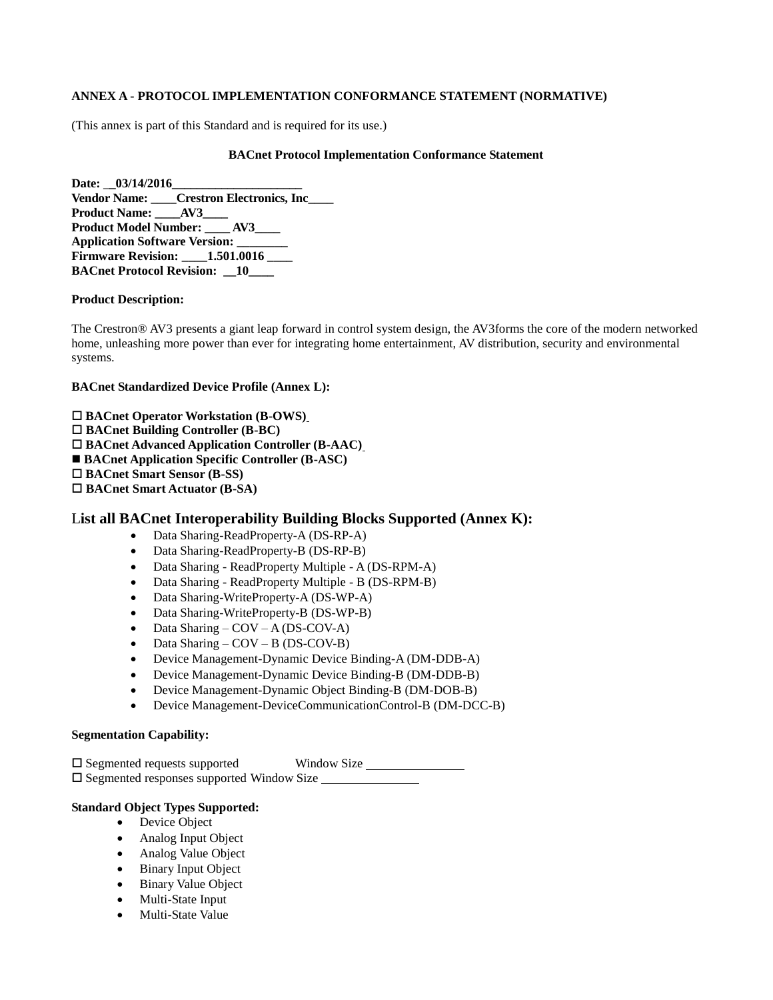## **ANNEX A - PROTOCOL IMPLEMENTATION CONFORMANCE STATEMENT (NORMATIVE)**

(This annex is part of this Standard and is required for its use.)

#### **BACnet Protocol Implementation Conformance Statement**

Date:  $03/14/2016$ **Vendor Name: \_\_\_\_Crestron Electronics, Inc\_\_\_\_ Product Name: AV3 Product Model Number: \_\_\_\_ AV3\_\_\_\_ Application Software Version: \_\_\_\_\_\_\_\_ Firmware Revision: \_\_\_\_1.501.0016 \_\_\_\_ BACnet Protocol Revision: \_\_10\_\_\_\_**

### **Product Description:**

The Crestron® AV3 presents a giant leap forward in control system design, the AV3forms the core of the modern networked home, unleashing more power than ever for integrating home entertainment, AV distribution, security and environmental systems.

#### **BACnet Standardized Device Profile (Annex L):**

 **BACnet Operator Workstation (B-OWS) BACnet Building Controller (B-BC) BACnet Advanced Application Controller (B-AAC)** ■ **BACnet Application Specific Controller (B-ASC) BACnet Smart Sensor (B-SS) BACnet Smart Actuator (B-SA)**

# L**ist all BACnet Interoperability Building Blocks Supported (Annex K):**

- Data Sharing-ReadProperty-A (DS-RP-A)
- Data Sharing-ReadProperty-B (DS-RP-B)
- Data Sharing ReadProperty Multiple A (DS-RPM-A)
- Data Sharing ReadProperty Multiple B (DS-RPM-B)
- Data Sharing-WriteProperty-A (DS-WP-A)
- Data Sharing-WriteProperty-B (DS-WP-B)
- $\bullet$  Data Sharing COV A (DS-COV-A)
- Data Sharing COV B (DS-COV-B)
- Device Management-Dynamic Device Binding-A (DM-DDB-A)
- Device Management-Dynamic Device Binding-B (DM-DDB-B)
- Device Management-Dynamic Object Binding-B (DM-DOB-B)
- Device Management-DeviceCommunicationControl-B (DM-DCC-B)

### **Segmentation Capability:**

 $\square$  Segmented requests supported Window Size □ Segmented responses supported Window Size

# **Standard Object Types Supported:**

- Device Object
- Analog Input Object
- Analog Value Object
- Binary Input Object
- Binary Value Object
- Multi-State Input
- Multi-State Value